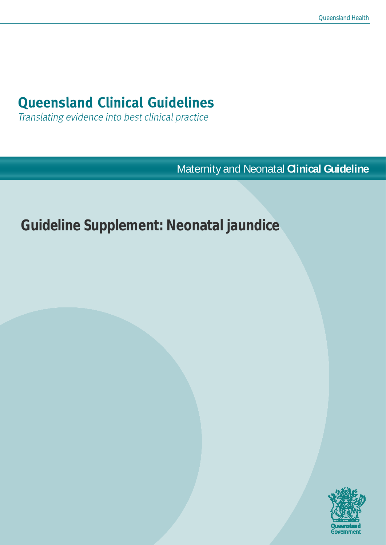# **Queensland Clinical Guidelines**

Translating evidence into best clinical practice

Maternity and Neonatal **Clinical Guideline**

# **Guideline Supplement: Neonatal jaundice**

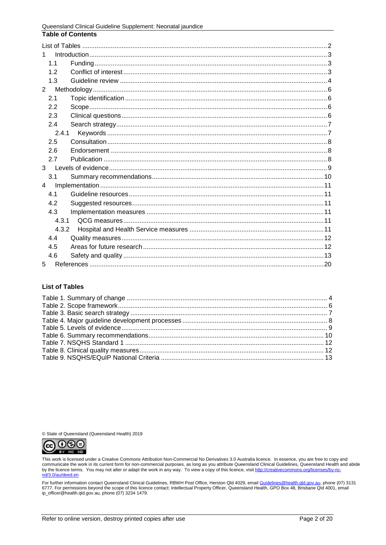| <b>Table of Contents</b> |
|--------------------------|
|                          |
| $\mathbf{1}$             |
| 1 <sub>1</sub>           |
| 1.2                      |
| 1.3                      |
| $\overline{2}$           |
| 2.1                      |
| 2.2                      |
| 2.3                      |
| 2.4                      |
| 2.4.1                    |
| 2.5                      |
| 2.6                      |
| 2.7                      |
| $3^{\circ}$              |
| 3.1                      |
| 4                        |
| 41                       |
| 4.2                      |
| 4.3                      |
| 4.3.1                    |
| 4.3.2                    |
| 4.4                      |
| 4.5                      |
| 4.6                      |
| 5                        |

#### <span id="page-1-0"></span>**List of Tables**

© State of Queensland (Queensland Health) 2019



This work is licensed under a Creative Commons Attribution Non-Commercial No Derivatives 3.0 Australia licence. In essence, you are free to copy and<br>communicate the work in its current form for non-commercial purposes, as by the licence terms. You may not alter or adapt the work in any way. To view a copy of this licence, visit http://creativecommons.org/licenses/by-ncnd/3.0/au/deed.en

For further information contact Queensland Clinical Guidelines, RBWH Post Office, Herston Qld 4029, email Guidelines@health.qld.gov.au, phone (07) 3131 6777. For permissions beyond the scope of this licence contact: Intellectual Property Officer, Queensland Health, GPO Box 48, Brisbane Qld 4001, email ip\_officer@health.qld.gov.au, phone (07) 3234 1479.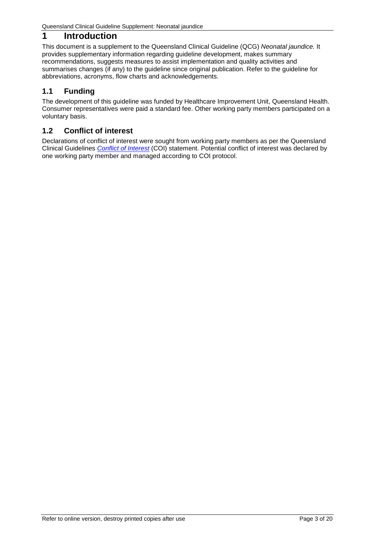# <span id="page-2-0"></span>**1 Introduction**

This document is a supplement to the Queensland Clinical Guideline (QCG) *Neonatal jaundice.* It provides supplementary information regarding guideline development, makes summary recommendations, suggests measures to assist implementation and quality activities and summarises changes (if any) to the guideline since original publication. Refer to the guideline for abbreviations, acronyms, flow charts and acknowledgements.

# <span id="page-2-1"></span>**1.1 Funding**

The development of this guideline was funded by Healthcare Improvement Unit, Queensland Health. Consumer representatives were paid a standard fee. Other working party members participated on a voluntary basis.

# <span id="page-2-2"></span>**1.2 Conflict of interest**

Declarations of conflict of interest were sought from working party members as per the Queensland Clinical Guidelines *[Conflict of Interest](https://www.health.qld.gov.au/qcg/development#coi)* (COI) statement. Potential conflict of interest was declared by one working party member and managed according to COI protocol.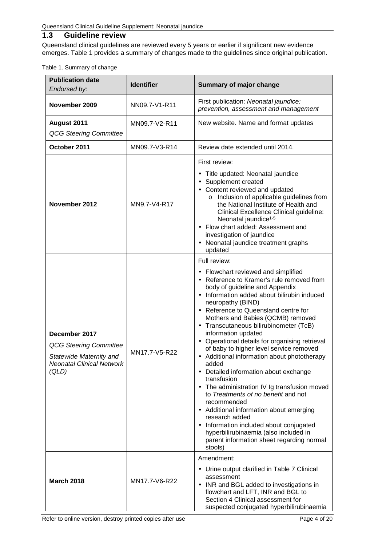# <span id="page-3-0"></span>**1.3 Guideline review**

Queensland clinical guidelines are reviewed every 5 years or earlier if significant new evidence emerges. [Table 1](#page-3-1) provides a summary of changes made to the guidelines since original publication.

#### <span id="page-3-1"></span>Table 1. Summary of change

| <b>Publication date</b><br>Endorsed by:                                                                         | <b>Identifier</b> | Summary of major change                                                                                                                                                                                                                                                                                                                                                                                                                                                                                                                                                                                                                                                                                                                                                                                                                                                                                                                                                                                                                                                                                                                                                                                                                                                                                            |  |
|-----------------------------------------------------------------------------------------------------------------|-------------------|--------------------------------------------------------------------------------------------------------------------------------------------------------------------------------------------------------------------------------------------------------------------------------------------------------------------------------------------------------------------------------------------------------------------------------------------------------------------------------------------------------------------------------------------------------------------------------------------------------------------------------------------------------------------------------------------------------------------------------------------------------------------------------------------------------------------------------------------------------------------------------------------------------------------------------------------------------------------------------------------------------------------------------------------------------------------------------------------------------------------------------------------------------------------------------------------------------------------------------------------------------------------------------------------------------------------|--|
| November 2009                                                                                                   | NN09.7-V1-R11     | First publication: Neonatal jaundice:<br>prevention, assessment and management                                                                                                                                                                                                                                                                                                                                                                                                                                                                                                                                                                                                                                                                                                                                                                                                                                                                                                                                                                                                                                                                                                                                                                                                                                     |  |
| August 2011<br><b>QCG Steering Committee</b>                                                                    | MN09.7-V2-R11     | New website. Name and format updates                                                                                                                                                                                                                                                                                                                                                                                                                                                                                                                                                                                                                                                                                                                                                                                                                                                                                                                                                                                                                                                                                                                                                                                                                                                                               |  |
| October 2011                                                                                                    | MN09.7-V3-R14     | Review date extended until 2014.                                                                                                                                                                                                                                                                                                                                                                                                                                                                                                                                                                                                                                                                                                                                                                                                                                                                                                                                                                                                                                                                                                                                                                                                                                                                                   |  |
| November 2012                                                                                                   | MN9.7-V4-R17      | First review:<br>Title updated: Neonatal jaundice<br>Supplement created<br>$\blacksquare$<br>Content reviewed and updated<br>$\mathbf{r}$<br>Inclusion of applicable guidelines from<br>$\circ$<br>the National Institute of Health and<br>Clinical Excellence Clinical guideline:<br>Neonatal jaundice <sup>1-5</sup><br>Flow chart added: Assessment and<br>investigation of jaundice<br>Neonatal jaundice treatment graphs<br>updated<br>Full review:<br>- Flowchart reviewed and simplified<br>Reference to Kramer's rule removed from<br>body of guideline and Appendix<br>Information added about bilirubin induced<br>neuropathy (BIND)<br>Reference to Queensland centre for<br>Mothers and Babies (QCMB) removed<br>Transcutaneous bilirubinometer (TcB)<br>information updated<br>Operational details for organising retrieval<br>of baby to higher level service removed<br>Additional information about phototherapy<br>added<br>Detailed information about exchange<br>transfusion<br>The administration IV Ig transfusion moved<br>$\sim$<br>to Treatments of no benefit and not<br>recommended<br>Additional information about emerging<br>research added<br>Information included about conjugated<br>hyperbilirubinaemia (also included in<br>parent information sheet regarding normal<br>stools) |  |
| December 2017<br><b>QCG Steering Committee</b><br>Statewide Maternity and<br>Neonatal Clinical Network<br>(QLD) | MN17.7-V5-R22     |                                                                                                                                                                                                                                                                                                                                                                                                                                                                                                                                                                                                                                                                                                                                                                                                                                                                                                                                                                                                                                                                                                                                                                                                                                                                                                                    |  |
| <b>March 2018</b>                                                                                               | MN17.7-V6-R22     | Amendment:<br>Urine output clarified in Table 7 Clinical<br>assessment<br>INR and BGL added to investigations in<br>flowchart and LFT, INR and BGL to<br>Section 4 Clinical assessment for<br>suspected conjugated hyperbilirubinaemia                                                                                                                                                                                                                                                                                                                                                                                                                                                                                                                                                                                                                                                                                                                                                                                                                                                                                                                                                                                                                                                                             |  |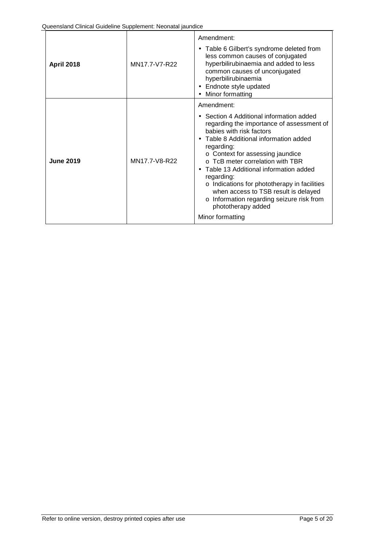| <b>April 2018</b> | MN17.7-V7-R22 | Amendment:<br>Table 6 Gilbert's syndrome deleted from<br>less common causes of conjugated<br>hyperbilirubinaemia and added to less<br>common causes of unconjugated<br>hyperbilirubinaemia<br>Endnote style updated<br>Minor formatting                                                                                                                                                                                                                                                               |
|-------------------|---------------|-------------------------------------------------------------------------------------------------------------------------------------------------------------------------------------------------------------------------------------------------------------------------------------------------------------------------------------------------------------------------------------------------------------------------------------------------------------------------------------------------------|
| <b>June 2019</b>  | MN17.7-V8-R22 | Amendment:<br>Section 4 Additional information added<br>regarding the importance of assessment of<br>babies with risk factors<br>Table 8 Additional information added<br>regarding:<br>○ Context for assessing jaundice<br>$\circ$ TcB meter correlation with TBR<br>Table 13 Additional information added<br>regarding:<br>o Indications for phototherapy in facilities<br>when access to TSB result is delayed<br>Information regarding seizure risk from<br>phototherapy added<br>Minor formatting |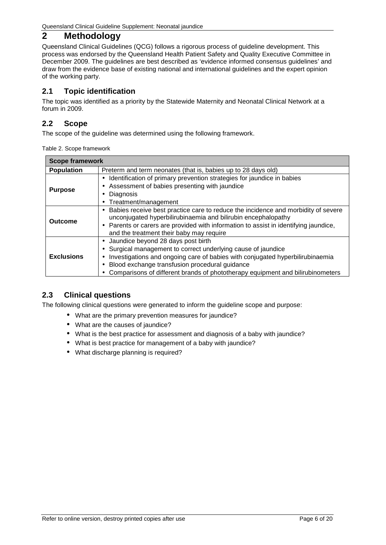# <span id="page-5-0"></span>**2 Methodology**

Queensland Clinical Guidelines (QCG) follows a rigorous process of guideline development. This process was endorsed by the Queensland Health Patient Safety and Quality Executive Committee in December 2009. The guidelines are best described as 'evidence informed consensus guidelines' and draw from the evidence base of existing national and international guidelines and the expert opinion of the working party.

# <span id="page-5-1"></span>**2.1 Topic identification**

The topic was identified as a priority by the Statewide Maternity and Neonatal Clinical Network at a forum in 2009.

# <span id="page-5-2"></span>**2.2 Scope**

<span id="page-5-4"></span>The scope of the guideline was determined using the following framework.

| Table 2. Scope framework |  |  |  |  |
|--------------------------|--|--|--|--|
|--------------------------|--|--|--|--|

| <b>Scope framework</b> |                                                                                                                                                                                                                                                                                                                        |  |  |  |
|------------------------|------------------------------------------------------------------------------------------------------------------------------------------------------------------------------------------------------------------------------------------------------------------------------------------------------------------------|--|--|--|
| <b>Population</b>      | Preterm and term neonates (that is, babies up to 28 days old)                                                                                                                                                                                                                                                          |  |  |  |
| <b>Purpose</b>         | Identification of primary prevention strategies for jaundice in babies<br>Assessment of babies presenting with jaundice<br>Diagnosis<br>Treatment/management                                                                                                                                                           |  |  |  |
| Outcome                | Babies receive best practice care to reduce the incidence and morbidity of severe<br>unconjugated hyperbilirubinaemia and bilirubin encephalopathy<br>Parents or carers are provided with information to assist in identifying jaundice,<br>and the treatment their baby may require                                   |  |  |  |
| <b>Exclusions</b>      | Jaundice beyond 28 days post birth<br>Surgical management to correct underlying cause of jaundice<br>Investigations and ongoing care of babies with conjugated hyperbilirubinaemia<br>Blood exchange transfusion procedural guidance<br>Comparisons of different brands of phototherapy equipment and bilirubinometers |  |  |  |

# <span id="page-5-3"></span>**2.3 Clinical questions**

The following clinical questions were generated to inform the guideline scope and purpose:

- What are the primary prevention measures for jaundice?
	- What are the causes of jaundice?
	- What is the best practice for assessment and diagnosis of a baby with jaundice?
	- What is best practice for management of a baby with jaundice?
	- What discharge planning is required?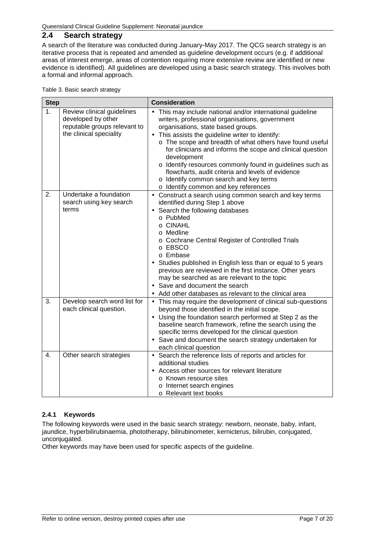## <span id="page-6-0"></span>**2.4 Search strategy**

A search of the literature was conducted during January-May 2017. The QCG search strategy is an iterative process that is repeated and amended as guideline development occurs (e.g. if additional areas of interest emerge, areas of contention requiring more extensive review are identified or new evidence is identified). All guidelines are developed using a basic search strategy. This involves both a formal and informal approach.

<span id="page-6-2"></span>

| Table 3. Basic search strategy |  |  |  |
|--------------------------------|--|--|--|
|--------------------------------|--|--|--|

| <b>Step</b> |                                                                                                             | Consideration                                                                                                                                                                                                                                                                                                                                                                                                                                                                                                                                                      |
|-------------|-------------------------------------------------------------------------------------------------------------|--------------------------------------------------------------------------------------------------------------------------------------------------------------------------------------------------------------------------------------------------------------------------------------------------------------------------------------------------------------------------------------------------------------------------------------------------------------------------------------------------------------------------------------------------------------------|
| 1.          | Review clinical guidelines<br>developed by other<br>reputable groups relevant to<br>the clinical speciality | This may include national and/or international guideline<br>writers, professional organisations, government<br>organisations, state based groups.<br>This assists the guideline writer to identify:<br>$\blacksquare$<br>o The scope and breadth of what others have found useful<br>for clinicians and informs the scope and clinical question<br>development<br>o Identify resources commonly found in guidelines such as<br>flowcharts, audit criteria and levels of evidence<br>o Identify common search and key terms<br>o Identify common and key references |
| 2.          | Undertake a foundation<br>search using key search<br>terms                                                  | Construct a search using common search and key terms<br>$\blacksquare$<br>identified during Step 1 above<br>Search the following databases<br>o PubMed<br>$\circ$ CINAHL<br>o Medline<br>o Cochrane Central Register of Controlled Trials<br>o EBSCO<br>o Embase<br>Studies published in English less than or equal to 5 years<br>previous are reviewed in the first instance. Other years<br>may be searched as are relevant to the topic<br>Save and document the search<br>Add other databases as relevant to the clinical area                                 |
| 3.          | Develop search word list for<br>each clinical question.                                                     | This may require the development of clinical sub-questions<br>¥,<br>beyond those identified in the initial scope.<br>Using the foundation search performed at Step 2 as the<br>baseline search framework, refine the search using the<br>specific terms developed for the clinical question<br>Save and document the search strategy undertaken for<br>each clinical question                                                                                                                                                                                      |
| 4.          | Other search strategies                                                                                     | Search the reference lists of reports and articles for<br>$\blacksquare$<br>additional studies<br>Access other sources for relevant literature<br>○ Known resource sites<br>o Internet search engines<br>○ Relevant text books                                                                                                                                                                                                                                                                                                                                     |

#### <span id="page-6-1"></span>**2.4.1 Keywords**

The following keywords were used in the basic search strategy: newborn, neonate, baby, infant, jaundice, hyperbilirubinaemia, phototherapy, bilirubinometer, kernicterus, bilirubin, conjugated, unconjugated.

Other keywords may have been used for specific aspects of the guideline.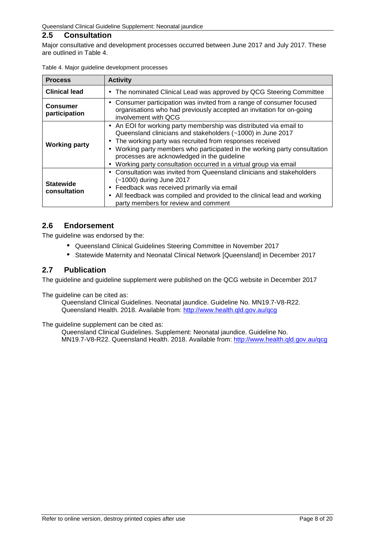## <span id="page-7-0"></span>**2.5 Consultation**

Major consultative and development processes occurred between June 2017 and July 2017. These are outlined in [Table 4.](#page-7-3)

| <b>Process</b>                                                                                                                                                                                                                                                                                                                                                                                                                                             | <b>Activity</b>                                                                                                                                                                                                                                                                         |  |  |
|------------------------------------------------------------------------------------------------------------------------------------------------------------------------------------------------------------------------------------------------------------------------------------------------------------------------------------------------------------------------------------------------------------------------------------------------------------|-----------------------------------------------------------------------------------------------------------------------------------------------------------------------------------------------------------------------------------------------------------------------------------------|--|--|
| <b>Clinical lead</b>                                                                                                                                                                                                                                                                                                                                                                                                                                       | The nominated Clinical Lead was approved by QCG Steering Committee<br>٠                                                                                                                                                                                                                 |  |  |
| <b>Consumer</b><br>participation                                                                                                                                                                                                                                                                                                                                                                                                                           | Consumer participation was invited from a range of consumer focused<br>٠<br>organisations who had previously accepted an invitation for on-going<br>involvement with QCG                                                                                                                |  |  |
| An EOI for working party membership was distributed via email to<br>$\blacksquare$<br>Queensland clinicians and stakeholders (~1000) in June 2017<br>The working party was recruited from responses received<br>٠<br><b>Working party</b><br>Working party members who participated in the working party consultation<br>processes are acknowledged in the guideline<br>Working party consultation occurred in a virtual group via email<br>$\blacksquare$ |                                                                                                                                                                                                                                                                                         |  |  |
| <b>Statewide</b><br>consultation                                                                                                                                                                                                                                                                                                                                                                                                                           | Consultation was invited from Queensland clinicians and stakeholders<br>(~1000) during June 2017<br>Feedback was received primarily via email<br>$\blacksquare$<br>All feedback was compiled and provided to the clinical lead and working<br>٠<br>party members for review and comment |  |  |

<span id="page-7-3"></span>

|  | Table 4. Major guideline development processes |  |
|--|------------------------------------------------|--|
|  |                                                |  |

### <span id="page-7-1"></span>**2.6 Endorsement**

The guideline was endorsed by the:

- Queensland Clinical Guidelines Steering Committee in November 2017
- Statewide Maternity and Neonatal Clinical Network [Queensland] in December 2017  $\mathbf{r}^{\prime}$

### <span id="page-7-2"></span>**2.7 Publication**

The guideline and guideline supplement were published on the QCG website in December 2017

The guideline can be cited as:

Queensland Clinical Guidelines. Neonatal jaundice. Guideline No. MN19.7-V8-R22. Queensland Health. 2018. Available from:<http://www.health.qld.gov.au/qcg>

The guideline supplement can be cited as:

Queensland Clinical Guidelines. Supplement: Neonatal jaundice. Guideline No. MN19.7-V8-R22. Queensland Health. 2018. Available from:<http://www.health.qld.gov.au/qcg>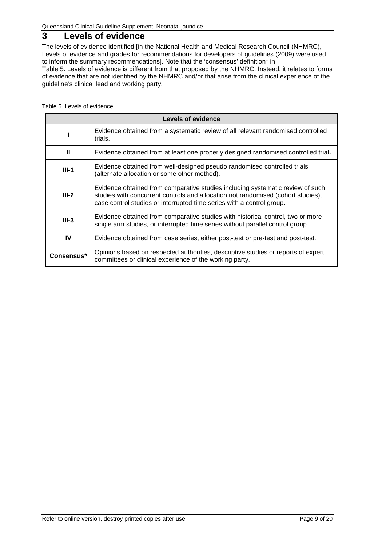# <span id="page-8-0"></span>**3 Levels of evidence**

The levels of evidence identified [in the National Health and Medical Research Council (NHMRC), Levels of evidence and grades for recommendations for developers of guidelines (2009) were used to inform the summary recommendations]. Note that the 'consensus' definition\* in [Table 5. Levels of evidence](#page-8-2) is different from that proposed by the NHMRC. Instead, it relates to forms of evidence that are not identified by the NHMRC and/or that arise from the clinical experience of the guideline's clinical lead and working party.

<span id="page-8-2"></span><span id="page-8-1"></span>Table 5. Levels of evidence

|            | Levels of evidence                                                                                                                                                                                                                          |
|------------|---------------------------------------------------------------------------------------------------------------------------------------------------------------------------------------------------------------------------------------------|
|            | Evidence obtained from a systematic review of all relevant randomised controlled<br>trials.                                                                                                                                                 |
| Ш          | Evidence obtained from at least one properly designed randomised controlled trial.                                                                                                                                                          |
| $III-1$    | Evidence obtained from well-designed pseudo randomised controlled trials<br>(alternate allocation or some other method).                                                                                                                    |
| $III-2$    | Evidence obtained from comparative studies including systematic review of such<br>studies with concurrent controls and allocation not randomised (cohort studies),<br>case control studies or interrupted time series with a control group. |
| $III-3$    | Evidence obtained from comparative studies with historical control, two or more<br>single arm studies, or interrupted time series without parallel control group.                                                                           |
| IV         | Evidence obtained from case series, either post-test or pre-test and post-test.                                                                                                                                                             |
| Consensus* | Opinions based on respected authorities, descriptive studies or reports of expert<br>committees or clinical experience of the working party.                                                                                                |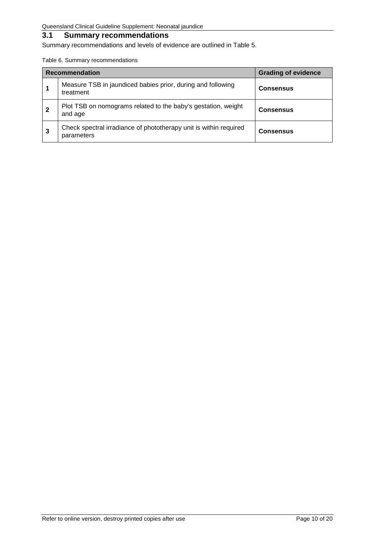## <span id="page-9-0"></span>**3.1 Summary recommendations**

Summary recommendations and levels of evidence are outlined in Table 5.

<span id="page-9-1"></span>Table 6. Summary recommendations

|   | <b>Recommendation</b>                                                           | <b>Grading of evidence</b> |
|---|---------------------------------------------------------------------------------|----------------------------|
|   | Measure TSB in jaundiced babies prior, during and following<br>treatment        | <b>Consensus</b>           |
|   | Plot TSB on nomograms related to the baby's gestation, weight<br>and age        | <b>Consensus</b>           |
| 3 | Check spectral irradiance of phototherapy unit is within required<br>parameters | <b>Consensus</b>           |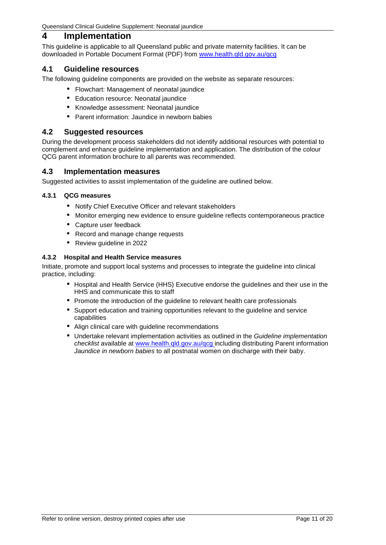## <span id="page-10-0"></span>**4 Implementation**

This guideline is applicable to all Queensland public and private maternity facilities. It can be downloaded in Portable Document Format (PDF) from [www.health.qld.gov.au/qcg](http://www.health.qld.gov.au/qcg)

#### <span id="page-10-1"></span>**4.1 Guideline resources**

The following guideline components are provided on the website as separate resources:

- Flowchart: Management of neonatal jaundice
- Education resource: Neonatal jaundice
- Knowledge assessment: Neonatal jaundice
- Parent information: Jaundice in newborn babies

### <span id="page-10-2"></span>**4.2 Suggested resources**

During the development process stakeholders did not identify additional resources with potential to complement and enhance guideline implementation and application. The distribution of the colour QCG parent information brochure to all parents was recommended.

#### <span id="page-10-3"></span>**4.3 Implementation measures**

Suggested activities to assist implementation of the guideline are outlined below.

#### <span id="page-10-4"></span>**4.3.1 QCG measures**

- Notify Chief Executive Officer and relevant stakeholders
- Monitor emerging new evidence to ensure guideline reflects contemporaneous practice  $\mathbf{r}$
- Capture user feedback
- Record and manage change requests
- Review guideline in 2022

#### <span id="page-10-5"></span>**4.3.2 Hospital and Health Service measures**

Initiate, promote and support local systems and processes to integrate the guideline into clinical practice, including:

- Hospital and Health Service (HHS) Executive endorse the guidelines and their use in the HHS and communicate this to staff
- Promote the introduction of the guideline to relevant health care professionals
- Support education and training opportunities relevant to the guideline and service capabilities
- Align clinical care with guideline recommendations
- Undertake relevant implementation activities as outlined in the *Guideline implementation checklist* available at [www.health.qld.gov.au/qcg](http://www.health.qld.gov.au/qcg) including distributing Parent information *Jaundice in newborn babies* to all postnatal women on discharge with their baby.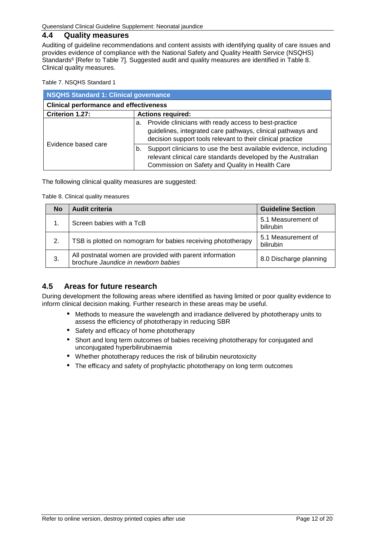## <span id="page-11-0"></span>**4.4 Quality measures**

Auditing of guideline recommendations and content assists with identifying quality of care issues and provides evidence of compliance with the National Safety and Quality Health Service (NSQHS) Standards<sup>6</sup> [Refer to [Table 7\]](#page-11-2). Suggested audit and quality measures are identified in Table 8. [Clinical quality measures.](#page-11-3)

#### <span id="page-11-2"></span>Table 7. NSQHS Standard 1

| <b>NSQHS Standard 1: Clinical governance</b>  |                                                                                                                                                                                           |  |  |
|-----------------------------------------------|-------------------------------------------------------------------------------------------------------------------------------------------------------------------------------------------|--|--|
| <b>Clinical performance and effectiveness</b> |                                                                                                                                                                                           |  |  |
| Criterion 1.27:                               | <b>Actions required:</b>                                                                                                                                                                  |  |  |
| Evidence based care                           | Provide clinicians with ready access to best-practice<br>а.<br>guidelines, integrated care pathways, clinical pathways and<br>decision support tools relevant to their clinical practice  |  |  |
|                                               | Support clinicians to use the best available evidence, including<br>b.<br>relevant clinical care standards developed by the Australian<br>Commission on Safety and Quality in Health Care |  |  |

<span id="page-11-3"></span>The following clinical quality measures are suggested:

Table 8. Clinical quality measures

| <b>No</b> | Audit criteria                                                                                  | <b>Guideline Section</b>        |
|-----------|-------------------------------------------------------------------------------------------------|---------------------------------|
|           | Screen babies with a TcB                                                                        | 5.1 Measurement of<br>bilirubin |
| 2.        | TSB is plotted on nomogram for babies receiving phototherapy                                    | 5.1 Measurement of<br>bilirubin |
| 3.        | All postnatal women are provided with parent information<br>brochure Jaundice in newborn babies | 8.0 Discharge planning          |

#### <span id="page-11-1"></span>**4.5 Areas for future research**

During development the following areas where identified as having limited or poor quality evidence to inform clinical decision making. Further research in these areas may be useful.

- $\mathbf{r}$ Methods to measure the wavelength and irradiance delivered by phototherapy units to assess the efficiency of phototherapy in reducing SBR
- Safety and efficacy of home phototherapy
- Short and long term outcomes of babies receiving phototherapy for conjugated and unconjugated hyperbilirubinaemia
- Whether phototherapy reduces the risk of bilirubin neurotoxicity
- The efficacy and safety of prophylactic phototherapy on long term outcomes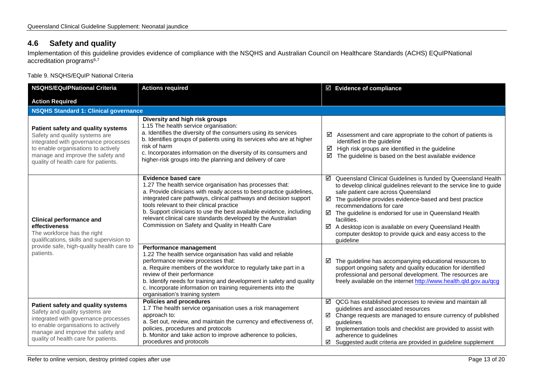# **4.6 Safety and quality**

Implementation of this guideline provides evidence of compliance with the NSQHS and Australian Council on Healthcare Standards (ACHS) EQuIPNational accreditation programs<sup>6,7</sup>

Table 9. NSQHS/EQuIP National Criteria

<span id="page-12-1"></span><span id="page-12-0"></span>

| <b>NSQHS/EQuIPNational Criteria</b>                                                                                                                                                                                              | <b>Actions required</b>                                                                                                                                                                                                                                                                                                                                                                                                                                                   | ☑ Evidence of compliance                                                                                                                                                                                                                                                                                                                                                                                                                                                                      |  |  |
|----------------------------------------------------------------------------------------------------------------------------------------------------------------------------------------------------------------------------------|---------------------------------------------------------------------------------------------------------------------------------------------------------------------------------------------------------------------------------------------------------------------------------------------------------------------------------------------------------------------------------------------------------------------------------------------------------------------------|-----------------------------------------------------------------------------------------------------------------------------------------------------------------------------------------------------------------------------------------------------------------------------------------------------------------------------------------------------------------------------------------------------------------------------------------------------------------------------------------------|--|--|
| <b>Action Required</b>                                                                                                                                                                                                           |                                                                                                                                                                                                                                                                                                                                                                                                                                                                           |                                                                                                                                                                                                                                                                                                                                                                                                                                                                                               |  |  |
|                                                                                                                                                                                                                                  | <b>NSQHS Standard 1: Clinical governance</b>                                                                                                                                                                                                                                                                                                                                                                                                                              |                                                                                                                                                                                                                                                                                                                                                                                                                                                                                               |  |  |
| Patient safety and quality systems<br>Safety and quality systems are<br>integrated with governance processes<br>to enable organisations to actively<br>manage and improve the safety and<br>quality of health care for patients. | Diversity and high risk groups<br>1.15 The health service organisation:<br>a. Identifies the diversity of the consumers using its services<br>b. Identifies groups of patients using its services who are at higher<br>risk of harm<br>c. Incorporates information on the diversity of its consumers and<br>higher-risk groups into the planning and delivery of care                                                                                                     | ☑<br>Assessment and care appropriate to the cohort of patients is<br>identified in the guideline<br>High risk groups are identified in the guideline<br>☑<br>☑<br>The guideline is based on the best available evidence                                                                                                                                                                                                                                                                       |  |  |
| <b>Clinical performance and</b><br>effectiveness<br>The workforce has the right<br>qualifications, skills and supervision to<br>provide safe, high-quality health care to<br>patients.                                           | <b>Evidence based care</b><br>1.27 The health service organisation has processes that:<br>a. Provide clinicians with ready access to best-practice guidelines,<br>integrated care pathways, clinical pathways and decision support<br>tools relevant to their clinical practice<br>b. Support clinicians to use the best available evidence, including<br>relevant clinical care standards developed by the Australian<br>Commission on Safety and Quality in Health Care | ☑ Queensland Clinical Guidelines is funded by Queensland Health<br>to develop clinical guidelines relevant to the service line to guide<br>safe patient care across Queensland<br>☑<br>The guideline provides evidence-based and best practice<br>recommendations for care<br>☑ The guideline is endorsed for use in Queensland Health<br>facilities.<br>☑<br>A desktop icon is available on every Queensland Health<br>computer desktop to provide quick and easy access to the<br>guideline |  |  |
|                                                                                                                                                                                                                                  | Performance management<br>1.22 The health service organisation has valid and reliable<br>performance review processes that:<br>a. Require members of the workforce to regularly take part in a<br>review of their performance<br>b. Identify needs for training and development in safety and quality<br>c. Incorporate information on training requirements into the<br>organisation's training system                                                                   | The guideline has accompanying educational resources to<br>☑<br>support ongoing safety and quality education for identified<br>professional and personal development. The resources are<br>freely available on the internet http://www.health.qld.gov.au/qcg                                                                                                                                                                                                                                  |  |  |
| Patient safety and quality systems<br>Safety and quality systems are<br>integrated with governance processes<br>to enable organisations to actively<br>manage and improve the safety and<br>quality of health care for patients. | <b>Policies and procedures</b><br>1.7 The health service organisation uses a risk management<br>approach to:<br>a. Set out, review, and maintain the currency and effectiveness of,<br>policies, procedures and protocols<br>b. Monitor and take action to improve adherence to policies,<br>procedures and protocols                                                                                                                                                     | $\boxtimes$ QCG has established processes to review and maintain all<br>guidelines and associated resources<br>☑ Change requests are managed to ensure currency of published<br>quidelines<br>☑<br>Implementation tools and checklist are provided to assist with<br>adherence to guidelines<br>$\boxtimes$ Suggested audit criteria are provided in guideline supplement                                                                                                                     |  |  |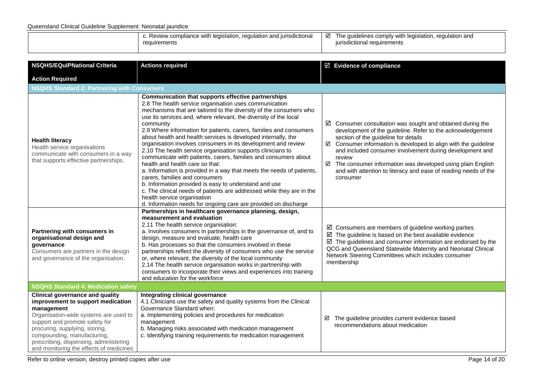#### Queensland Clinical Guideline Supplement: Neonatal jaundice

| iurisdictionai<br>iance with legislation.<br>ron.<br><sup>'</sup> compliance<br>requiation<br>້<br><b>REVIEW</b><br>.<br>requirements<br>nents | regulation and<br>e quidelines comply {<br>he<br>v with legislation. |
|------------------------------------------------------------------------------------------------------------------------------------------------|----------------------------------------------------------------------|
|                                                                                                                                                |                                                                      |

| <b>NSQHS/EQulPNational Criteria</b>                                                                                                                                                                                                                                                                                        | <b>Actions required</b>                                                                                                                                                                                                                                                                                                                                                                                                                                                                                                                                                                                                                                                                                                                                                                                                                                                                                                                                                                         | $\boxtimes$ Evidence of compliance                                                                                                                                                                                                                                                                                                                                                                                                                                    |  |
|----------------------------------------------------------------------------------------------------------------------------------------------------------------------------------------------------------------------------------------------------------------------------------------------------------------------------|-------------------------------------------------------------------------------------------------------------------------------------------------------------------------------------------------------------------------------------------------------------------------------------------------------------------------------------------------------------------------------------------------------------------------------------------------------------------------------------------------------------------------------------------------------------------------------------------------------------------------------------------------------------------------------------------------------------------------------------------------------------------------------------------------------------------------------------------------------------------------------------------------------------------------------------------------------------------------------------------------|-----------------------------------------------------------------------------------------------------------------------------------------------------------------------------------------------------------------------------------------------------------------------------------------------------------------------------------------------------------------------------------------------------------------------------------------------------------------------|--|
| <b>Action Required</b>                                                                                                                                                                                                                                                                                                     |                                                                                                                                                                                                                                                                                                                                                                                                                                                                                                                                                                                                                                                                                                                                                                                                                                                                                                                                                                                                 |                                                                                                                                                                                                                                                                                                                                                                                                                                                                       |  |
| <b>NSQHS Standard 2: Partnering with Consumers</b>                                                                                                                                                                                                                                                                         |                                                                                                                                                                                                                                                                                                                                                                                                                                                                                                                                                                                                                                                                                                                                                                                                                                                                                                                                                                                                 |                                                                                                                                                                                                                                                                                                                                                                                                                                                                       |  |
| <b>Health literacy</b><br>Health service organisations<br>communicate with consumers in a way<br>that supports effective partnerships.                                                                                                                                                                                     | Communication that supports effective partnerships<br>2.8 The health service organisation uses communication<br>mechanisms that are tailored to the diversity of the consumers who<br>use its services and, where relevant, the diversity of the local<br>community<br>2.9 Where information for patients, carers, families and consumers<br>about health and health services is developed internally, the<br>organisation involves consumers in its development and review<br>2.10 The health service organisation supports clinicians to<br>communicate with patients, carers, families and consumers about<br>health and health care so that:<br>a. Information is provided in a way that meets the needs of patients,<br>carers, families and consumers<br>b. Information provided is easy to understand and use<br>c. The clinical needs of patients are addressed while they are in the<br>health service organisation<br>d. Information needs for ongoing care are provided on discharge | $\boxtimes$ Consumer consultation was sought and obtained during the<br>development of the guideline. Refer to the acknowledgement<br>section of the guideline for details<br>☑ Consumer information is developed to align with the guideline<br>and included consumer involvement during development and<br>review<br>☑<br>The consumer information was developed using plain English<br>and with attention to literacy and ease of reading needs of the<br>consumer |  |
| Partnering with consumers in<br>organisational design and<br>governance<br>Consumers are partners in the design<br>and governance of the organisation.                                                                                                                                                                     | Partnerships in healthcare governance planning, design,<br>measurement and evaluation<br>2.11 The health service organisation:<br>a. Involves consumers in partnerships in the governance of, and to<br>design, measure and evaluate, health care<br>b. Has processes so that the consumers involved in these<br>partnerships reflect the diversity of consumers who use the service<br>or, where relevant, the diversity of the local community<br>2.14 The health service organisation works in partnership with<br>consumers to incorporate their views and experiences into training<br>and education for the workforce                                                                                                                                                                                                                                                                                                                                                                     | $\boxtimes$ Consumers are members of guideline working parties<br>$\boxtimes$ The guideline is based on the best available evidence<br>$\boxtimes$ The guidelines and consumer information are endorsed by the<br>QCG and Queensland Statewide Maternity and Neonatal Clinical<br>Network Steering Committees which includes consumer<br>membership                                                                                                                   |  |
| <b>NSQHS Standard 4: Medication safety</b>                                                                                                                                                                                                                                                                                 |                                                                                                                                                                                                                                                                                                                                                                                                                                                                                                                                                                                                                                                                                                                                                                                                                                                                                                                                                                                                 |                                                                                                                                                                                                                                                                                                                                                                                                                                                                       |  |
| <b>Clinical governance and quality</b><br>improvement to support medication<br>management<br>Organisation-wide systems are used to<br>support and promote safety for<br>procuring, supplying, storing,<br>compounding, manufacturing,<br>prescribing, dispensing, administering<br>and monitoring the effects of medicines | Integrating clinical governance<br>4.1 Clinicians use the safety and quality systems from the Clinical<br>Governance Standard when:<br>a. Implementing policies and procedures for medication<br>management<br>b. Managing risks associated with medication management<br>c. Identifying training requirements for medication management                                                                                                                                                                                                                                                                                                                                                                                                                                                                                                                                                                                                                                                        | The guideline provides current evidence based<br>☑<br>recommendations about medication                                                                                                                                                                                                                                                                                                                                                                                |  |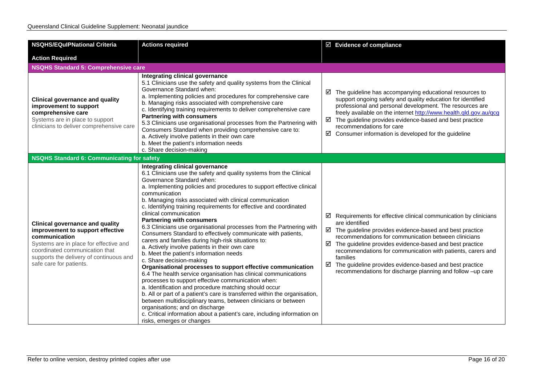| <b>NSQHS/EQulPNational Criteria</b>                                                                                                                                                                                                           | <b>Actions required</b>                                                                                                                                                                                                                                                                                                                                                                                                                                                                                                                                                                                                                                                                                                                                                                                                                                                                                                                                                                                                                                                                                                                                                                                                                                                                            | $\boxtimes$ Evidence of compliance                                                                                                                                                                                                                                                                                                                                                                                                                                                                    |
|-----------------------------------------------------------------------------------------------------------------------------------------------------------------------------------------------------------------------------------------------|----------------------------------------------------------------------------------------------------------------------------------------------------------------------------------------------------------------------------------------------------------------------------------------------------------------------------------------------------------------------------------------------------------------------------------------------------------------------------------------------------------------------------------------------------------------------------------------------------------------------------------------------------------------------------------------------------------------------------------------------------------------------------------------------------------------------------------------------------------------------------------------------------------------------------------------------------------------------------------------------------------------------------------------------------------------------------------------------------------------------------------------------------------------------------------------------------------------------------------------------------------------------------------------------------|-------------------------------------------------------------------------------------------------------------------------------------------------------------------------------------------------------------------------------------------------------------------------------------------------------------------------------------------------------------------------------------------------------------------------------------------------------------------------------------------------------|
| <b>Action Required</b>                                                                                                                                                                                                                        |                                                                                                                                                                                                                                                                                                                                                                                                                                                                                                                                                                                                                                                                                                                                                                                                                                                                                                                                                                                                                                                                                                                                                                                                                                                                                                    |                                                                                                                                                                                                                                                                                                                                                                                                                                                                                                       |
| <b>NSQHS Standard 5: Comprehensive care</b>                                                                                                                                                                                                   |                                                                                                                                                                                                                                                                                                                                                                                                                                                                                                                                                                                                                                                                                                                                                                                                                                                                                                                                                                                                                                                                                                                                                                                                                                                                                                    |                                                                                                                                                                                                                                                                                                                                                                                                                                                                                                       |
| <b>Clinical governance and quality</b><br>improvement to support<br>comprehensive care<br>Systems are in place to support<br>clinicians to deliver comprehensive care                                                                         | Integrating clinical governance<br>5.1 Clinicians use the safety and quality systems from the Clinical<br>Governance Standard when:<br>a. Implementing policies and procedures for comprehensive care<br>b. Managing risks associated with comprehensive care<br>c. Identifying training requirements to deliver comprehensive care<br><b>Partnering with consumers</b><br>5.3 Clinicians use organisational processes from the Partnering with<br>Consumers Standard when providing comprehensive care to:<br>a. Actively involve patients in their own care<br>b. Meet the patient's information needs<br>c. Share decision-making                                                                                                                                                                                                                                                                                                                                                                                                                                                                                                                                                                                                                                                               | $\boxtimes$ The guideline has accompanying educational resources to<br>support ongoing safety and quality education for identified<br>professional and personal development. The resources are<br>freely available on the internet http://www.health.qld.gov.au/qcg<br>$\boxtimes$ The guideline provides evidence-based and best practice<br>recommendations for care<br>$\boxtimes$ Consumer information is developed for the guideline                                                             |
| NSQHS Standard 6: Communicating for safety                                                                                                                                                                                                    |                                                                                                                                                                                                                                                                                                                                                                                                                                                                                                                                                                                                                                                                                                                                                                                                                                                                                                                                                                                                                                                                                                                                                                                                                                                                                                    |                                                                                                                                                                                                                                                                                                                                                                                                                                                                                                       |
| <b>Clinical governance and quality</b><br>improvement to support effective<br>communication<br>Systems are in place for effective and<br>coordinated communication that<br>supports the delivery of continuous and<br>safe care for patients. | Integrating clinical governance<br>6.1 Clinicians use the safety and quality systems from the Clinical<br>Governance Standard when:<br>a. Implementing policies and procedures to support effective clinical<br>communication<br>b. Managing risks associated with clinical communication<br>c. Identifying training requirements for effective and coordinated<br>clinical communication<br><b>Partnering with consumers</b><br>6.3 Clinicians use organisational processes from the Partnering with<br>Consumers Standard to effectively communicate with patients,<br>carers and families during high-risk situations to:<br>a. Actively involve patients in their own care<br>b. Meet the patient's information needs<br>c. Share decision-making<br>Organisational processes to support effective communication<br>6.4 The health service organisation has clinical communications<br>processes to support effective communication when:<br>a. Identification and procedure matching should occur<br>b. All or part of a patient's care is transferred within the organisation,<br>between multidisciplinary teams, between clinicians or between<br>organisations; and on discharge<br>c. Critical information about a patient's care, including information on<br>risks, emerges or changes | Requirements for effective clinical communication by clinicians<br>☑<br>are identified<br>$\boxtimes$ The guideline provides evidence-based and best practice<br>recommendations for communication between clinicians<br>$\boxtimes$ The guideline provides evidence-based and best practice<br>recommendations for communication with patients, carers and<br>families<br>☑<br>The guideline provides evidence-based and best practice<br>recommendations for discharge planning and follow -up care |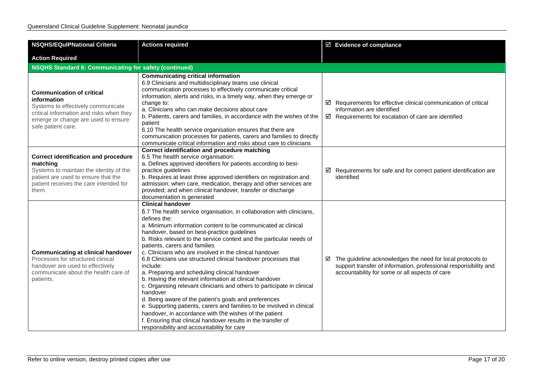| <b>NSQHS/EQulPNational Criteria</b>                                                                                                                                                            | <b>Actions required</b>                                                                                                                                                                                                                                                                                                                                                                                                                                                                                                                                                                                                                                                                                                                                                                                                                                                                                                                                                                             | $\boxtimes$ Evidence of compliance                                                                                                                                                           |
|------------------------------------------------------------------------------------------------------------------------------------------------------------------------------------------------|-----------------------------------------------------------------------------------------------------------------------------------------------------------------------------------------------------------------------------------------------------------------------------------------------------------------------------------------------------------------------------------------------------------------------------------------------------------------------------------------------------------------------------------------------------------------------------------------------------------------------------------------------------------------------------------------------------------------------------------------------------------------------------------------------------------------------------------------------------------------------------------------------------------------------------------------------------------------------------------------------------|----------------------------------------------------------------------------------------------------------------------------------------------------------------------------------------------|
| <b>Action Required</b>                                                                                                                                                                         |                                                                                                                                                                                                                                                                                                                                                                                                                                                                                                                                                                                                                                                                                                                                                                                                                                                                                                                                                                                                     |                                                                                                                                                                                              |
| <b>NSQHS Standard 6: Communicating for safety (continued)</b>                                                                                                                                  |                                                                                                                                                                                                                                                                                                                                                                                                                                                                                                                                                                                                                                                                                                                                                                                                                                                                                                                                                                                                     |                                                                                                                                                                                              |
| <b>Communication of critical</b><br>information<br>Systems to effectively communicate<br>critical information and risks when they<br>emerge or change are used to ensure<br>safe patient care. | <b>Communicating critical information</b><br>6.9 Clinicians and multidisciplinary teams use clinical<br>communication processes to effectively communicate critical<br>information, alerts and risks, in a timely way, when they emerge or<br>change to:<br>a. Clinicians who can make decisions about care<br>b. Patients, carers and families, in accordance with the wishes of the<br>patient<br>6.10 The health service organisation ensures that there are<br>communication processes for patients, carers and families to directly<br>communicate critical information and risks about care to clinicians                                                                                                                                                                                                                                                                                                                                                                                     | $\boxtimes$ Requirements for effective clinical communication of critical<br>information are identified<br>$\boxtimes$ Requirements for escalation of care are identified                    |
| <b>Correct identification and procedure</b><br>matching<br>Systems to maintain the identity of the<br>patient are used to ensure that the<br>patient receives the care intended for<br>them.   | Correct identification and procedure matching<br>6.5 The health service organisation:<br>a. Defines approved identifiers for patients according to best-<br>practice guidelines<br>b. Requires at least three approved identifiers on registration and<br>admission; when care, medication, therapy and other services are<br>provided; and when clinical handover, transfer or discharge<br>documentation is generated                                                                                                                                                                                                                                                                                                                                                                                                                                                                                                                                                                             | $\boxtimes$ Requirements for safe and for correct patient identification are<br>identified                                                                                                   |
| <b>Communicating at clinical handover</b><br>Processes for structured clinical<br>handover are used to effectively<br>communicate about the health care of<br>patients.                        | <b>Clinical handover</b><br>6.7 The health service organisation, in collaboration with clinicians,<br>defines the:<br>a. Minimum information content to be communicated at clinical<br>handover, based on best-practice guidelines<br>b. Risks relevant to the service context and the particular needs of<br>patients, carers and families<br>c. Clinicians who are involved in the clinical handover<br>6.8 Clinicians use structured clinical handover processes that<br>include:<br>a. Preparing and scheduling clinical handover<br>b. Having the relevant information at clinical handover<br>c. Organising relevant clinicians and others to participate in clinical<br>handover<br>d. Being aware of the patient's goals and preferences<br>e. Supporting patients, carers and families to be involved in clinical<br>handover, in accordance with the wishes of the patient<br>f. Ensuring that clinical handover results in the transfer of<br>responsibility and accountability for care | $\boxtimes$ The guideline acknowledges the need for local protocols to<br>support transfer of information, professional responsibility and<br>accountability for some or all aspects of care |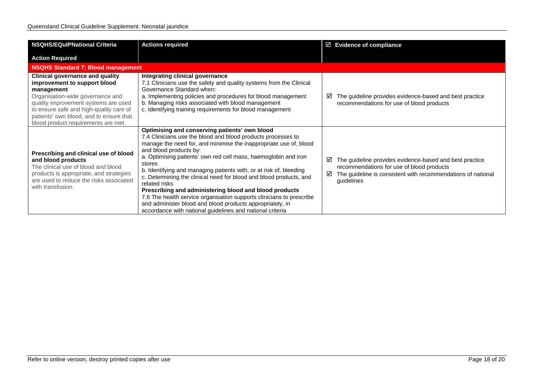| <b>NSQHS/EQulPNational Criteria</b>                                                                                                                                                                                                                                                           | <b>Actions required</b>                                                                                                                                                                                                                                                                                                                                                                                                                                                                                                                                                                                                                                                                                            |        | $\boxtimes$ Evidence of compliance                                                                                                                                                 |
|-----------------------------------------------------------------------------------------------------------------------------------------------------------------------------------------------------------------------------------------------------------------------------------------------|--------------------------------------------------------------------------------------------------------------------------------------------------------------------------------------------------------------------------------------------------------------------------------------------------------------------------------------------------------------------------------------------------------------------------------------------------------------------------------------------------------------------------------------------------------------------------------------------------------------------------------------------------------------------------------------------------------------------|--------|------------------------------------------------------------------------------------------------------------------------------------------------------------------------------------|
| <b>Action Required</b>                                                                                                                                                                                                                                                                        |                                                                                                                                                                                                                                                                                                                                                                                                                                                                                                                                                                                                                                                                                                                    |        |                                                                                                                                                                                    |
| <b>NSQHS Standard 7: Blood management</b>                                                                                                                                                                                                                                                     |                                                                                                                                                                                                                                                                                                                                                                                                                                                                                                                                                                                                                                                                                                                    |        |                                                                                                                                                                                    |
| <b>Clinical governance and quality</b><br>improvement to support blood<br>management<br>Organisation-wide governance and<br>quality improvement systems are used<br>to ensure safe and high-quality care of<br>patients' own blood, and to ensure that<br>blood product requirements are met. | Integrating clinical governance<br>7.1 Clinicians use the safety and quality systems from the Clinical<br>Governance Standard when:<br>a. Implementing policies and procedures for blood management<br>b. Managing risks associated with blood management<br>c. Identifying training requirements for blood management                                                                                                                                                                                                                                                                                                                                                                                             | ☑      | The guideline provides evidence-based and best practice<br>recommendations for use of blood products                                                                               |
| Prescribing and clinical use of blood<br>and blood products<br>The clinical use of blood and blood<br>products is appropriate, and strategies<br>are used to reduce the risks associated<br>with transfusion.                                                                                 | Optimising and conserving patients' own blood<br>7.4 Clinicians use the blood and blood products processes to<br>manage the need for, and minimise the inappropriate use of, blood<br>and blood products by:<br>a. Optimising patients' own red cell mass, haemoglobin and iron<br>stores<br>b. Identifying and managing patients with, or at risk of, bleeding<br>c. Determining the clinical need for blood and blood products, and<br>related risks<br>Prescribing and administering blood and blood products<br>7.6 The health service organisation supports clinicians to prescribe<br>and administer blood and blood products appropriately, in<br>accordance with national guidelines and national criteria | ☑<br>⊻ | The guideline provides evidence-based and best practice<br>recommendations for use of blood products<br>The guideline is consistent with recommendations of national<br>guidelines |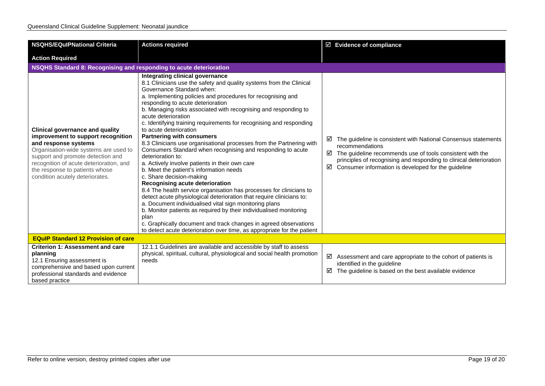| <b>NSQHS/EQulPNational Criteria</b>                                                                                                                                                                                                                                                                | <b>Actions required</b>                                                                                                                                                                                                                                                                                                                                                                                                                                                                                                                                                                                                                                                                                                                                                                                                                                                                                                                                                                                                                                                                                                                                                                                                              | $\boxtimes$ Evidence of compliance                                                                                                                                                                                                                                                                |  |
|----------------------------------------------------------------------------------------------------------------------------------------------------------------------------------------------------------------------------------------------------------------------------------------------------|--------------------------------------------------------------------------------------------------------------------------------------------------------------------------------------------------------------------------------------------------------------------------------------------------------------------------------------------------------------------------------------------------------------------------------------------------------------------------------------------------------------------------------------------------------------------------------------------------------------------------------------------------------------------------------------------------------------------------------------------------------------------------------------------------------------------------------------------------------------------------------------------------------------------------------------------------------------------------------------------------------------------------------------------------------------------------------------------------------------------------------------------------------------------------------------------------------------------------------------|---------------------------------------------------------------------------------------------------------------------------------------------------------------------------------------------------------------------------------------------------------------------------------------------------|--|
| <b>Action Required</b>                                                                                                                                                                                                                                                                             |                                                                                                                                                                                                                                                                                                                                                                                                                                                                                                                                                                                                                                                                                                                                                                                                                                                                                                                                                                                                                                                                                                                                                                                                                                      |                                                                                                                                                                                                                                                                                                   |  |
| NSQHS Standard 8: Recognising and responding to acute deterioration                                                                                                                                                                                                                                |                                                                                                                                                                                                                                                                                                                                                                                                                                                                                                                                                                                                                                                                                                                                                                                                                                                                                                                                                                                                                                                                                                                                                                                                                                      |                                                                                                                                                                                                                                                                                                   |  |
| <b>Clinical governance and quality</b><br>improvement to support recognition<br>and response systems<br>Organisation-wide systems are used to<br>support and promote detection and<br>recognition of acute deterioration, and<br>the response to patients whose<br>condition acutely deteriorates. | Integrating clinical governance<br>8.1 Clinicians use the safety and quality systems from the Clinical<br>Governance Standard when:<br>a. Implementing policies and procedures for recognising and<br>responding to acute deterioration<br>b. Managing risks associated with recognising and responding to<br>acute deterioration<br>c. Identifying training requirements for recognising and responding<br>to acute deterioration<br><b>Partnering with consumers</b><br>8.3 Clinicians use organisational processes from the Partnering with<br>Consumers Standard when recognising and responding to acute<br>deterioration to:<br>a. Actively involve patients in their own care<br>b. Meet the patient's information needs<br>c. Share decision-making<br>Recognising acute deterioration<br>8.4 The health service organisation has processes for clinicians to<br>detect acute physiological deterioration that require clinicians to:<br>a. Document individualised vital sign monitoring plans<br>b. Monitor patients as required by their individualised monitoring<br>plan<br>c. Graphically document and track changes in agreed observations<br>to detect acute deterioration over time, as appropriate for the patient | The guideline is consistent with National Consensus statements<br>☑<br>recommendations<br>$\boxtimes$ The guideline recommends use of tools consistent with the<br>principles of recognising and responding to clinical deterioration<br>Consumer information is developed for the guideline<br>☑ |  |
| <b>EQuIP Standard 12 Provision of care</b>                                                                                                                                                                                                                                                         |                                                                                                                                                                                                                                                                                                                                                                                                                                                                                                                                                                                                                                                                                                                                                                                                                                                                                                                                                                                                                                                                                                                                                                                                                                      |                                                                                                                                                                                                                                                                                                   |  |
| <b>Criterion 1: Assessment and care</b><br>planning<br>12.1 Ensuring assessment is<br>comprehensive and based upon current<br>professional standards and evidence<br>based practice                                                                                                                | 12.1.1 Guidelines are available and accessible by staff to assess<br>physical, spiritual, cultural, physiological and social health promotion<br>needs                                                                                                                                                                                                                                                                                                                                                                                                                                                                                                                                                                                                                                                                                                                                                                                                                                                                                                                                                                                                                                                                               | ☑<br>Assessment and care appropriate to the cohort of patients is<br>identified in the guideline<br>The guideline is based on the best available evidence<br>☑                                                                                                                                    |  |